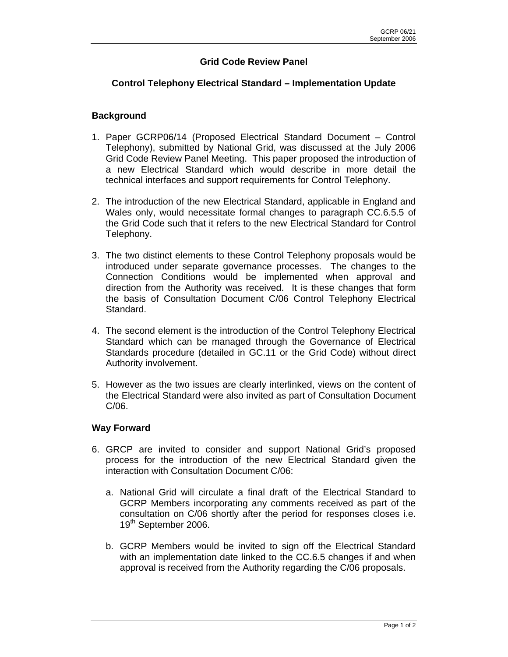## **Grid Code Review Panel**

## **Control Telephony Electrical Standard – Implementation Update**

## **Background**

- 1. Paper GCRP06/14 (Proposed Electrical Standard Document Control Telephony), submitted by National Grid, was discussed at the July 2006 Grid Code Review Panel Meeting. This paper proposed the introduction of a new Electrical Standard which would describe in more detail the technical interfaces and support requirements for Control Telephony.
- 2. The introduction of the new Electrical Standard, applicable in England and Wales only, would necessitate formal changes to paragraph CC.6.5.5 of the Grid Code such that it refers to the new Electrical Standard for Control Telephony.
- 3. The two distinct elements to these Control Telephony proposals would be introduced under separate governance processes. The changes to the Connection Conditions would be implemented when approval and direction from the Authority was received. It is these changes that form the basis of Consultation Document C/06 Control Telephony Electrical Standard.
- 4. The second element is the introduction of the Control Telephony Electrical Standard which can be managed through the Governance of Electrical Standards procedure (detailed in GC.11 or the Grid Code) without direct Authority involvement.
- 5. However as the two issues are clearly interlinked, views on the content of the Electrical Standard were also invited as part of Consultation Document C/06.

## **Way Forward**

- 6. GRCP are invited to consider and support National Grid's proposed process for the introduction of the new Electrical Standard given the interaction with Consultation Document C/06:
	- a. National Grid will circulate a final draft of the Electrical Standard to GCRP Members incorporating any comments received as part of the consultation on C/06 shortly after the period for responses closes i.e. 19<sup>th</sup> September 2006.
	- b. GCRP Members would be invited to sign off the Electrical Standard with an implementation date linked to the CC.6.5 changes if and when approval is received from the Authority regarding the C/06 proposals.